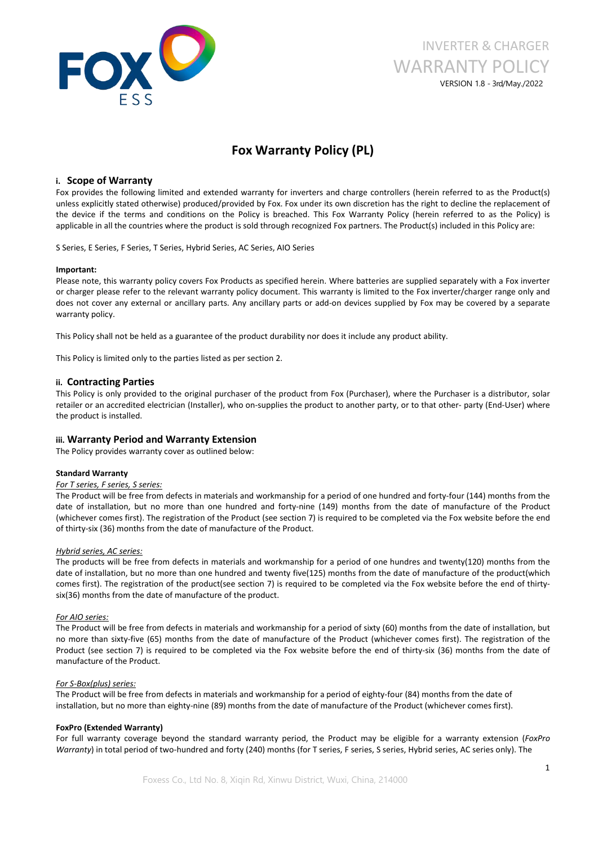

# INVERTER & CHARGER WARRANTY POLICY VERSION 1.8 - 3rd/May./2022

# **Fox Warranty Policy (PL)**

# **i. Scope of Warranty**

Fox provides the following limited and extended warranty for inverters and charge controllers (herein referred to as the Product(s) unless explicitly stated otherwise) produced/provided by Fox. Fox under its own discretion has the right to decline the replacement of the device if the terms and conditions on the Policy is breached. This Fox Warranty Policy (herein referred to asthe Policy) is applicable in all the countries where the product is sold through recognized Fox partners. The Product(s) included in this Policy are:

S Series, E Series, F Series, T Series, Hybrid Series, AC Series, AIO Series

#### **Important:**

Please note, this warranty policy covers Fox Products as specified herein. Where batteries are supplied separately with a Fox inverter or charger please refer to the relevant warranty policy document. This warranty is limited to the Fox inverter/charger range only and does not cover any external or ancillary parts. Any ancillary parts or add-on devices supplied by Fox may be covered by a separate warranty policy.

This Policy shall not be held as a guarantee of the product durability nor does it include any product ability.

This Policy is limited only to the parties listed as per section 2.

## **ii. Contracting Parties**

This Policy is only provided to the original purchaser of the product from Fox (Purchaser), where the Purchaser is a distributor, solar retailer or an accredited electrician (Installer), who on-supplies the product to another party, or to that other- party (End-User) where the product is installed.

## **iii. Warranty Period and Warranty Extension**

The Policy provides warranty cover as outlined below:

#### **Standard Warranty**

# *For T series, F series, S series:*

The Product will be free from defects in materials and workmanship for a period of one hundred and forty-four (144) months from the date of installation, but no more than one hundred and forty-nine (149) months from the date of manufacture of the Product (whichever comes first). The registration of the Product (see section 7) is required to be completed via the Fox website before the end of thirty-six (36) months from the date of manufacture of the Product.

#### *Hybrid series, AC series:*

The products will be free from defects in materials and workmanship for a period of one hundres and twenty(120) months from the date of installation, but no more than one hundred and twenty five(125) months from the date of manufacture of the product(which comes first). The registration of the product(see section 7) is required to be completed via the Fox website before the end of thirty six(36) months from the date of manufacture of the product.

#### *For AIO series:*

The Product will be free from defects in materials and workmanship for a period of sixty (60) months from the date of installation, but no more than sixty-five (65) months from the date of manufacture of the Product (whichever comes first). The registration of the Product (see section 7) is required to be completed via the Fox website before the end of thirty-six (36) months from the date of manufacture of the Product.

### *For S-Box(plus) series:*

The Product will be free from defects in materials and workmanship for a period of eighty-four (84) months from the date of installation, but no more than eighty-nine (89) months from the date of manufacture of the Product (whichever comes first).

#### **FoxPro (Extended Warranty)**

For full warranty coverage beyond the standard warranty period, the Product may be eligible for a warranty extension (*FoxPro Warranty*) in total period of two-hundred and forty (240) months (for T series, F series, S series, Hybrid series, AC series only). The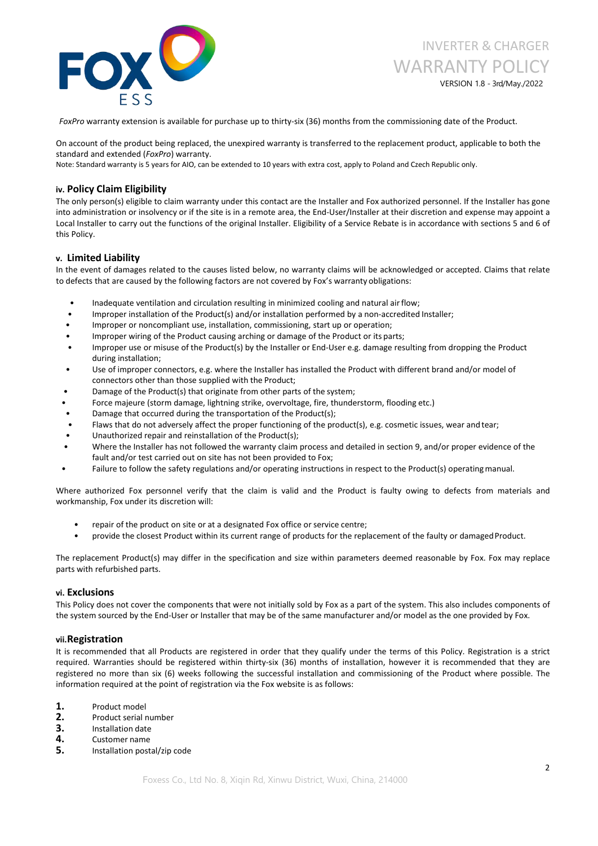

*FoxPro* warranty extension is available for purchase up to thirty-six (36) months from the commissioning date ofthe Product.

On account of the product being replaced, the unexpired warranty is transferred to the replacement product, applicable to both the standard and extended (*FoxPro*) warranty.

Note: Standard warranty is 5 years for AIO, can be extended to 10 years with extra cost, apply to Poland and Czech Republic only.

# **iv. Policy Claim Eligibility**

The only person(s) eligible to claim warranty under this contact are the Installer and Fox authorized personnel. If the Installer has gone into administration or insolvency or if the site is in a remote area, the End-User/Installer at their discretion and expense may appoint a Local Installer to carry out the functions of the original Installer. Eligibility of a Service Rebate is in accordance with sections 5 and 6 of this Policy.

# **v. Limited Liability**

In the event of damages related to the causes listed below, no warranty claims will be acknowledged or accepted. Claims that relate to defects that are caused by the following factors are not covered by Fox's warranty obligations:

- Inadequate ventilation and circulation resulting in minimized cooling and natural airflow;
- Improper installation of the Product(s) and/or installation performed by a non-accredited Installer;
- Improper or noncompliant use, installation, commissioning, start up or operation;
- Improper wiring of the Product causing arching or damage of the Product or its parts;
- Improper use or misuse of the Product(s) by the Installer or End-User e.g. damage resulting from dropping the Product during installation;
- Use of improper connectors, e.g. where the Installer has installed the Product with different brand and/or model of connectors other than those supplied with the Product;
- Damage of the Product(s) that originate from other parts of the system;
- Force majeure (storm damage, lightning strike, overvoltage, fire, thunderstorm, flooding etc.)
- Damage that occurred during the transportation of the Product(s);
- Flaws that do not adversely affect the proper functioning of the product(s), e.g. cosmetic issues, wear and tear;
- Unauthorized repair and reinstallation of the Product(s);
- Where the Installer has not followed the warranty claim process and detailed in section 9, and/or proper evidence of the fault and/or test carried out on site has not been provided to Fox;
- Failure to follow the safety regulations and/or operating instructions in respect to the Product(s) operating manual.

Where authorized Fox personnel verify that the claim is valid and the Product is faulty owing to defects from materials and workmanship, Fox under its discretion will:

- repair of the product on site or at a designated Fox office or service centre;
- provide the closest Product within its current range of products for the replacement of the faulty or damagedProduct.

The replacement Product(s) may differ in the specification and size within parameters deemed reasonable by Fox. Fox may replace parts with refurbished parts.

## **vi. Exclusions**

This Policy does not cover the components that were not initially sold by Fox as a part of the system. This also includes components of the system sourced by the End-User or Installer that may be of the same manufacturer and/or model as the one provided by Fox.

## **vii.Registration**

It is recommended that all Products are registered in order that they qualify under the terms of this Policy. Registration is a strict required. Warranties should be registered within thirty-six (36) months of installation, however it is recommended that they are registered no more than six (6) weeks following the successful installation and commissioning of the Product where possible. The information required at the point of registration via the Fox website is as follows:

- **1.** Product model
- 
- 
- 
- **2.** Product serial number<br>**3.** Installation date<br>**4.** Customer name<br>**5.** Installation postal/zip code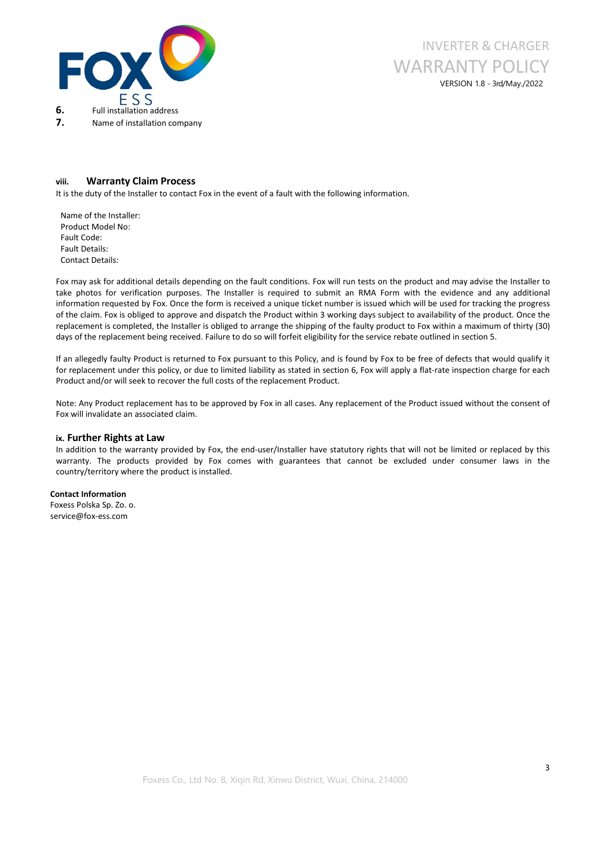



# **viii. Warranty Claim Process**

It is the duty of the Installer to contact Fox in the event of a fault with the following information.

Name of the Installer: Product Model No: Fault Code: Fault Details: Contact Details:

Fox may ask for additional details depending on the fault conditions. Fox will run tests on the product and may advise the Installer to take photos for verification purposes. The Installer is required to submit an RMA Form with the evidence and any additional information requested by Fox. Once the form is received a unique ticket number is issued which will be used for tracking the progress of the claim. Fox isobliged to approve and dispatch the Product within 3 working days subject to availability of the product. Once the replacement is completed, the Installer is obliged to arrange the shipping of the faulty product to Fox within a maximum of thirty (30) days of the replacement being received. Failure to do so will forfeit eligibility for the service rebate outlined in section 5.

If an allegedly faulty Product is returned to Fox pursuant to this Policy, and is found by Fox to be free of defects that would qualify it for replacement under this policy, or due to limited liability as stated in section 6, Fox will apply a flat-rate inspection charge for each Product and/or will seek to recover the full costs of the replacement Product.

Note: Any Product replacement has to be approved by Fox in all cases. Any replacement of the Product issued without the consent of Fox will invalidate an associated claim.

#### **ix. Further Rights at Law**

In addition to the warranty provided by Fox, the end-user/Installer have statutory rights that will not be limited or replaced by this warranty. The products provided by Fox comes with guarantees that cannot be excluded under consumer laws in the country/territory where the product is installed.

### **Contact Information**

Foxess Polska Sp. Zo. o. service@fox-ess.com